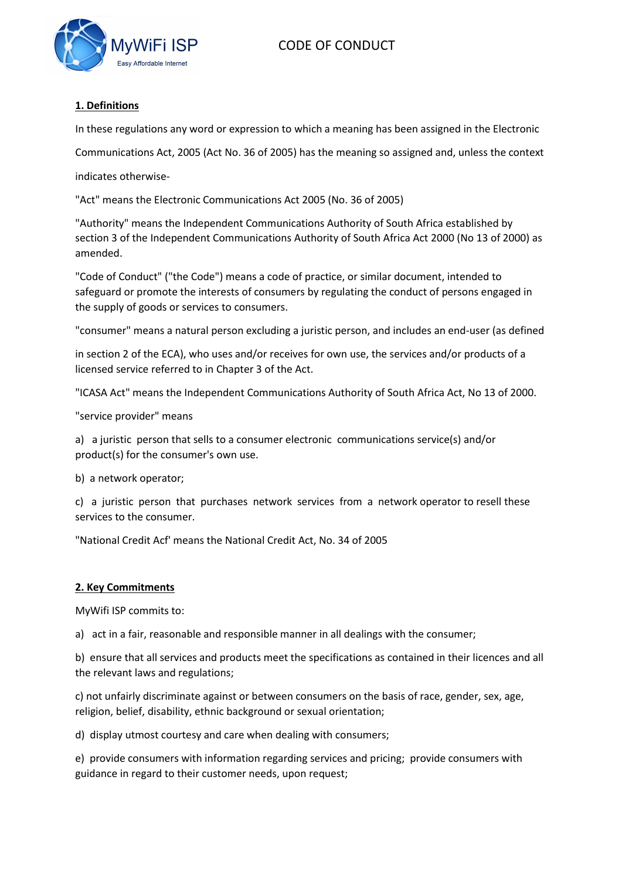

### **1. Definitions**

In these regulations any word or expression to which a meaning has been assigned in the Electronic

Communications Act, 2005 (Act No. 36 of 2005) has the meaning so assigned and, unless the context

indicates otherwise-

"Act" means the Electronic Communications Act 2005 (No. 36 of 2005)

"Authority" means the Independent Communications Authority of South Africa established by section 3 of the Independent Communications Authority of South Africa Act 2000 (No 13 of 2000) as amended.

"Code of Conduct" ("the Code") means a code of practice, or similar document, intended to safeguard or promote the interests of consumers by regulating the conduct of persons engaged in the supply of goods or services to consumers.

"consumer" means a natural person excluding a juristic person, and includes an end-user (as defined

in section 2 of the ECA), who uses and/or receives for own use, the services and/or products of a licensed service referred to in Chapter 3 of the Act.

"ICASA Act" means the Independent Communications Authority of South Africa Act, No 13 of 2000.

"service provider" means

a) a juristic person that sells to a consumer electronic communications service(s) and/or product(s) for the consumer's own use.

b) a network operator;

c) a juristic person that purchases network services from a network operator to resell these services to the consumer.

"National Credit Acf' means the National Credit Act, No. 34 of 2005

### **2. Key Commitments**

MyWifi ISP commits to:

a) act in a fair, reasonable and responsible manner in all dealings with the consumer;

b) ensure that all services and products meet the specifications as contained in their licences and all the relevant laws and regulations;

c) not unfairly discriminate against or between consumers on the basis of race, gender, sex, age, religion, belief, disability, ethnic background or sexual orientation;

d) display utmost courtesy and care when dealing with consumers;

e) provide consumers with information regarding services and pricing; provide consumers with guidance in regard to their customer needs, upon request;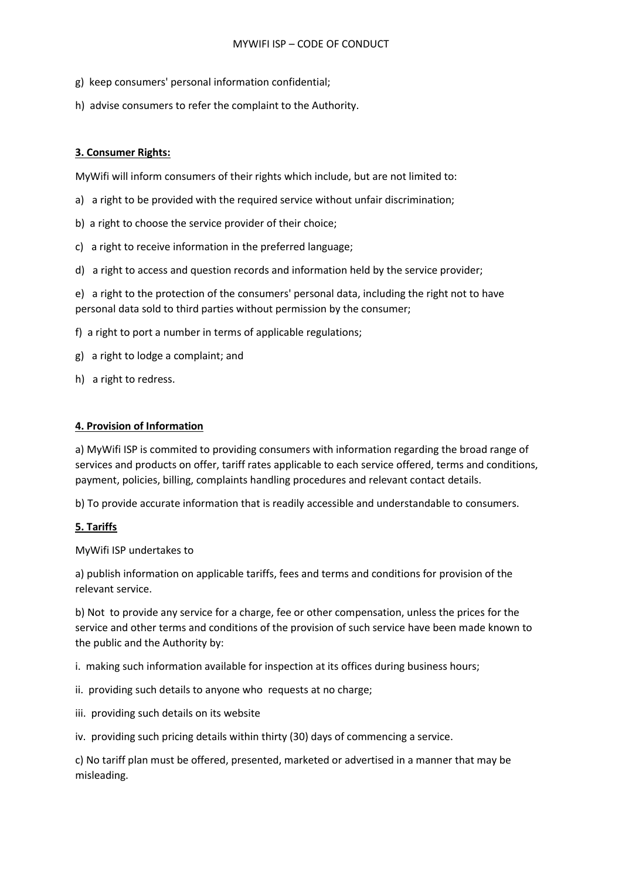- g) keep consumers' personal information confidential;
- h) advise consumers to refer the complaint to the Authority.

## **3. Consumer Rights:**

MyWifi will inform consumers of their rights which include, but are not limited to:

- a) a right to be provided with the required service without unfair discrimination;
- b) a right to choose the service provider of their choice;
- c) a right to receive information in the preferred language;
- d) a right to access and question records and information held by the service provider;

e) a right to the protection of the consumers' personal data, including the right not to have personal data sold to third parties without permission by the consumer;

f) a right to port a number in terms of applicable regulations;

- g) a right to lodge a complaint; and
- h) a right to redress.

#### **4. Provision of Information**

a) MyWifi ISP is commited to providing consumers with information regarding the broad range of services and products on offer, tariff rates applicable to each service offered, terms and conditions, payment, policies, billing, complaints handling procedures and relevant contact details.

b) To provide accurate information that is readily accessible and understandable to consumers.

#### **5. Tariffs**

MyWifi ISP undertakes to

a) publish information on applicable tariffs, fees and terms and conditions for provision of the relevant service.

b) Not to provide any service for a charge, fee or other compensation, unless the prices for the service and other terms and conditions of the provision of such service have been made known to the public and the Authority by:

i. making such information available for inspection at its offices during business hours;

- ii. providing such details to anyone who requests at no charge;
- iii. providing such details on its website
- iv. providing such pricing details within thirty (30) days of commencing a service.

c) No tariff plan must be offered, presented, marketed or advertised in a manner that may be misleading.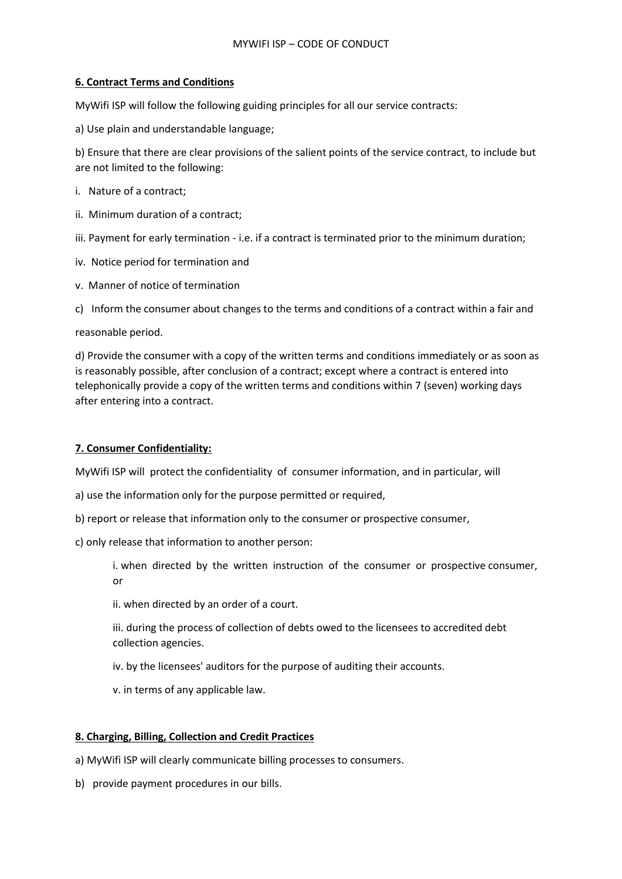#### **6. Contract Terms and Conditions**

MyWifi ISP will follow the following guiding principles for all our service contracts:

a) Use plain and understandable language;

b) Ensure that there are clear provisions of the salient points of the service contract, to include but are not limited to the following:

- i. Nature of a contract;
- ii. Minimum duration of a contract;

iii. Payment for early termination - i.e. if a contract is terminated prior to the minimum duration;

- iv. Notice period for termination and
- v. Manner of notice of termination
- c) Inform the consumer about changes to the terms and conditions of a contract within a fair and

reasonable period.

d) Provide the consumer with a copy of the written terms and conditions immediately or as soon as is reasonably possible, after conclusion of a contract; except where a contract is entered into telephonically provide a copy of the written terms and conditions within 7 (seven) working days after entering into a contract.

### **7. Consumer Confidentiality:**

MyWifi ISP will protect the confidentiality of consumer information, and in particular, will

- a) use the information only for the purpose permitted or required,
- b) report or release that information only to the consumer or prospective consumer,
- c) only release that information to another person:
	- i. when directed by the written instruction of the consumer or prospective consumer, or
	- ii. when directed by an order of a court.
	- iii. during the process of collection of debts owed to the licensees to accredited debt collection agencies.
	- iv. by the licensees' auditors for the purpose of auditing their accounts.
	- v. in terms of any applicable law.

### **8. Charging, Billing, Collection and Credit Practices**

- a) MyWifi ISP will clearly communicate billing processes to consumers.
- b) provide payment procedures in our bills.